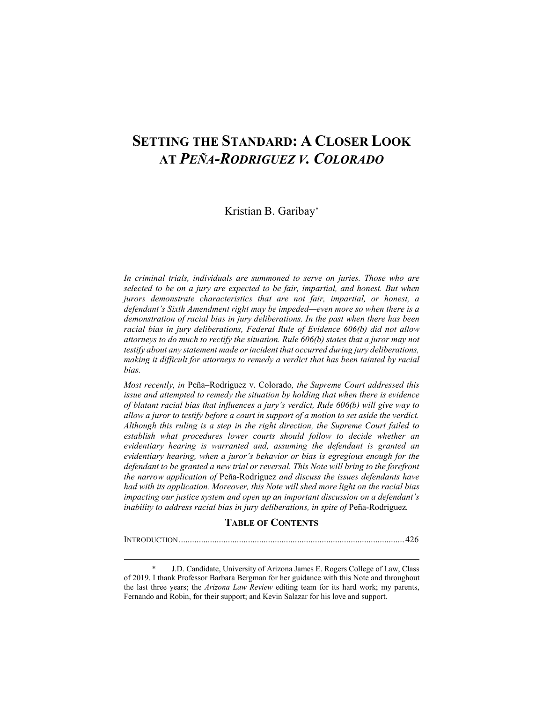# **SETTING THE STANDARD: A CLOSER LOOK AT** *PEÑA-RODRIGUEZ V. COLORADO*

## Kristian B. Garibay[\\*](#page-0-0)

*In criminal trials, individuals are summoned to serve on juries. Those who are selected to be on a jury are expected to be fair, impartial, and honest. But when jurors demonstrate characteristics that are not fair, impartial, or honest, a defendant's Sixth Amendment right may be impeded—even more so when there is a demonstration of racial bias in jury deliberations. In the past when there has been racial bias in jury deliberations, Federal Rule of Evidence 606(b) did not allow attorneys to do much to rectify the situation. Rule 606(b) states that a juror may not testify about any statement made or incident that occurred during jury deliberations, making it difficult for attorneys to remedy a verdict that has been tainted by racial bias.*

*Most recently, in* Peña–Rodriguez v. Colorado*, the Supreme Court addressed this issue and attempted to remedy the situation by holding that when there is evidence of blatant racial bias that influences a jury's verdict, Rule 606(b) will give way to allow a juror to testify before a court in support of a motion to set aside the verdict. Although this ruling is a step in the right direction, the Supreme Court failed to establish what procedures lower courts should follow to decide whether an evidentiary hearing is warranted and, assuming the defendant is granted an evidentiary hearing, when a juror's behavior or bias is egregious enough for the defendant to be granted a new trial or reversal. This Note will bring to the forefront the narrow application of* Peña-Rodriguez *and discuss the issues defendants have had with its application. Moreover, this Note will shed more light on the racial bias impacting our justice system and open up an important discussion on a defendant's inability to address racial bias in jury deliberations, in spite of* Peña-Rodriguez*.*

## **TABLE OF CONTENTS**

INTRODUCTION..................................................................................................... 426

<span id="page-0-0"></span>J.D. Candidate, University of Arizona James E. Rogers College of Law, Class of 2019. I thank Professor Barbara Bergman for her guidance with this Note and throughout the last three years; the *Arizona Law Review* editing team for its hard work; my parents, Fernando and Robin, for their support; and Kevin Salazar for his love and support.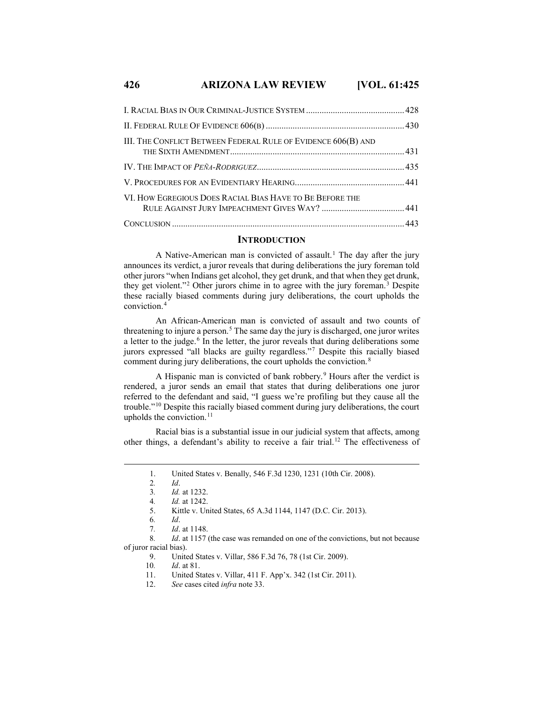## **426 ARIZONA LAW REVIEW [VOL. 61:425**

| III. THE CONFLICT BETWEEN FEDERAL RULE OF EVIDENCE 606(B) AND |  |
|---------------------------------------------------------------|--|
|                                                               |  |
|                                                               |  |
| VI. HOW EGREGIOUS DOES RACIAL BIAS HAVE TO BE BEFORE THE      |  |
|                                                               |  |

#### **INTRODUCTION**

A Native-American man is convicted of assault.<sup>[1](#page-1-0)</sup> The day after the jury announces its verdict, a juror reveals that during deliberations the jury foreman told other jurors "when Indians get alcohol, they get drunk, and that when they get drunk, they get violent."[2](#page-1-1) Other jurors chime in to agree with the jury foreman.[3](#page-1-2) Despite these racially biased comments during jury deliberations, the court upholds the conviction.[4](#page-1-3)

An African-American man is convicted of assault and two counts of threatening to injure a person. [5](#page-1-4) The same day the jury is discharged, one juror writes a letter to the judge.<sup>[6](#page-1-5)</sup> In the letter, the juror reveals that during deliberations some jurors expressed "all blacks are guilty regardless."[7](#page-1-6) Despite this racially biased comment during jury deliberations, the court upholds the conviction.<sup>[8](#page-1-7)</sup>

A Hispanic man is convicted of bank robbery.<sup>[9](#page-1-8)</sup> Hours after the verdict is rendered, a juror sends an email that states that during deliberations one juror referred to the defendant and said, "I guess we're profiling but they cause all the trouble."[10](#page-1-9) Despite this racially biased comment during jury deliberations, the court upholds the conviction. $11$ 

<span id="page-1-1"></span><span id="page-1-0"></span>Racial bias is a substantial issue in our judicial system that affects, among other things, a defendant's ability to receive a fair trial.[12](#page-1-11) The effectiveness of

12. *See* cases cited *infra* note 33.

 <sup>1.</sup> United States v. Benally, 546 F.3d 1230, 1231 (10th Cir. 2008).

<sup>2</sup>*. Id*.

<sup>3</sup>*. Id.* at 1232.

<sup>4</sup>*. Id.* at 1242.

<sup>5.</sup> Kittle v. United States, 65 A.3d 1144, 1147 (D.C. Cir. 2013).

<sup>6</sup>*. Id*.

<sup>7</sup>*. Id*. at 1148.

<span id="page-1-11"></span><span id="page-1-10"></span><span id="page-1-9"></span><span id="page-1-8"></span><span id="page-1-7"></span><span id="page-1-6"></span><span id="page-1-5"></span><span id="page-1-4"></span><span id="page-1-3"></span><span id="page-1-2"></span><sup>8</sup>*. Id*. at 1157 (the case was remanded on one of the convictions, but not because of juror racial bias).

<sup>9.</sup> United States v. Villar, 586 F.3d 76, 78 (1st Cir. 2009).<br>10. *Id.* at 81.

<sup>10</sup>*. Id*. at 81.

<sup>11.</sup> United States v. Villar, 411 F. App'x. 342 (1st Cir. 2011).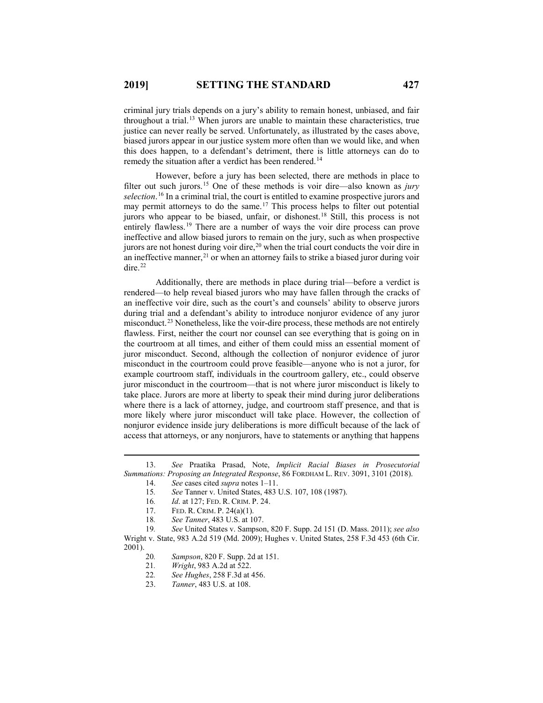criminal jury trials depends on a jury's ability to remain honest, unbiased, and fair throughout a trial.<sup>[13](#page-2-0)</sup> When jurors are unable to maintain these characteristics, true justice can never really be served. Unfortunately, as illustrated by the cases above, biased jurors appear in our justice system more often than we would like, and when this does happen, to a defendant's detriment, there is little attorneys can do to remedy the situation after a verdict has been rendered.<sup>[14](#page-2-1)</sup>

However, before a jury has been selected, there are methods in place to filter out such jurors.[15](#page-2-2) One of these methods is voir dire—also known as *jury selection*. [16](#page-2-3) In a criminal trial, the court is entitled to examine prospective jurors and may permit attorneys to do the same.[17](#page-2-4) This process helps to filter out potential jurors who appear to be biased, unfair, or dishonest.[18](#page-2-5) Still, this process is not entirely flawless.<sup>[19](#page-2-6)</sup> There are a number of ways the voir dire process can prove ineffective and allow biased jurors to remain on the jury, such as when prospective jurors are not honest during voir dire,  $20$  when the trial court conducts the voir dire in an ineffective manner, [21](#page-2-8) or when an attorney fails to strike a biased juror during voir dire. [22](#page-2-9)

Additionally, there are methods in place during trial—before a verdict is rendered—to help reveal biased jurors who may have fallen through the cracks of an ineffective voir dire, such as the court's and counsels' ability to observe jurors during trial and a defendant's ability to introduce nonjuror evidence of any juror misconduct.[23](#page-2-10) Nonetheless, like the voir-dire process, these methods are not entirely flawless. First, neither the court nor counsel can see everything that is going on in the courtroom at all times, and either of them could miss an essential moment of juror misconduct. Second, although the collection of nonjuror evidence of juror misconduct in the courtroom could prove feasible—anyone who is not a juror, for example courtroom staff, individuals in the courtroom gallery, etc., could observe juror misconduct in the courtroom—that is not where juror misconduct is likely to take place. Jurors are more at liberty to speak their mind during juror deliberations where there is a lack of attorney, judge, and courtroom staff presence, and that is more likely where juror misconduct will take place. However, the collection of nonjuror evidence inside jury deliberations is more difficult because of the lack of access that attorneys, or any nonjurors, have to statements or anything that happens

17. FED. R. CRIM. P. 24(a)(1).

23. *Tanner*, 483 U.S. at 108.

<span id="page-2-2"></span><span id="page-2-1"></span><span id="page-2-0"></span> <sup>13.</sup> *See* Praatika Prasad, Note, *Implicit Racial Biases in Prosecutorial Summations: Proposing an Integrated Response*, 86 FORDHAM L. REV. 3091, 3101 (2018).

<sup>14.</sup> *See* cases cited *supra* notes 1–11.<br>15. *See* Tanner v. United States, 483

<sup>15</sup>*. See* Tanner v. United States, 483 U.S. 107, 108 (1987).

<sup>16</sup>*. Id*. at 127; FED. R. CRIM. P. 24.

<sup>18</sup>*. See Tanner*, 483 U.S. at 107.

<span id="page-2-10"></span><span id="page-2-9"></span><span id="page-2-8"></span><span id="page-2-7"></span><span id="page-2-6"></span><span id="page-2-5"></span><span id="page-2-4"></span><span id="page-2-3"></span><sup>19</sup>*. See* United States v. Sampson, 820 F. Supp. 2d 151 (D. Mass. 2011); *see also* Wright v. State, 983 A.2d 519 (Md. 2009); Hughes v. United States, 258 F.3d 453 (6th Cir.  $\frac{2001}{20}$ .

<sup>20</sup>*. Sampson*, 820 F. Supp. 2d at 151.

<sup>21</sup>*. Wright*, 983 A.2d at 522.

<sup>22</sup>*. See Hughes*, 258 F.3d at 456.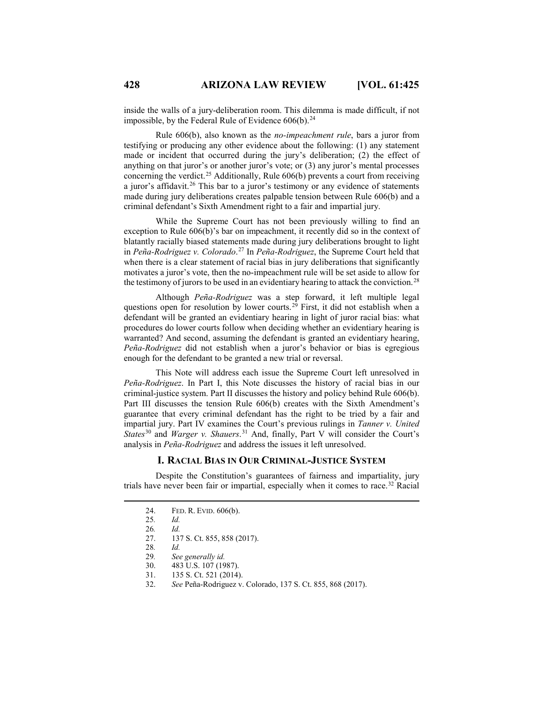inside the walls of a jury-deliberation room. This dilemma is made difficult, if not impossible, by the Federal Rule of Evidence  $606(b)$ .<sup>[24](#page-3-0)</sup>

Rule 606(b), also known as the *no-impeachment rule*, bars a juror from testifying or producing any other evidence about the following: (1) any statement made or incident that occurred during the jury's deliberation; (2) the effect of anything on that juror's or another juror's vote; or (3) any juror's mental processes concerning the verdict.<sup>[25](#page-3-1)</sup> Additionally, Rule  $606(b)$  prevents a court from receiving a juror's affidavit.<sup>[26](#page-3-2)</sup> This bar to a juror's testimony or any evidence of statements made during jury deliberations creates palpable tension between Rule 606(b) and a criminal defendant's Sixth Amendment right to a fair and impartial jury.

While the Supreme Court has not been previously willing to find an exception to Rule 606(b)'s bar on impeachment, it recently did so in the context of blatantly racially biased statements made during jury deliberations brought to light in *Peña-Rodriguez v. Colorado*. [27](#page-3-3) In *Peña-Rodriguez*, the Supreme Court held that when there is a clear statement of racial bias in jury deliberations that significantly motivates a juror's vote, then the no-impeachment rule will be set aside to allow for the testimony of jurors to be used in an evidentiary hearing to attack the conviction.<sup>[28](#page-3-4)</sup>

Although *Peña-Rodriguez* was a step forward, it left multiple legal questions open for resolution by lower courts.<sup>[29](#page-3-5)</sup> First, it did not establish when a defendant will be granted an evidentiary hearing in light of juror racial bias: what procedures do lower courts follow when deciding whether an evidentiary hearing is warranted? And second, assuming the defendant is granted an evidentiary hearing, *Peña-Rodriguez* did not establish when a juror's behavior or bias is egregious enough for the defendant to be granted a new trial or reversal.

This Note will address each issue the Supreme Court left unresolved in *Peña-Rodriguez*. In Part I, this Note discusses the history of racial bias in our criminal-justice system. Part II discusses the history and policy behind Rule 606(b). Part III discusses the tension Rule 606(b) creates with the Sixth Amendment's guarantee that every criminal defendant has the right to be tried by a fair and impartial jury. Part IV examines the Court's previous rulings in *Tanner v. United States*[30](#page-3-6) and *Warger v. Shauers*. [31](#page-3-7) And, finally, Part V will consider the Court's analysis in *Peña-Rodriguez* and address the issues it left unresolved.

#### **I. RACIAL BIAS IN OUR CRIMINAL-JUSTICE SYSTEM**

<span id="page-3-4"></span><span id="page-3-3"></span><span id="page-3-2"></span><span id="page-3-1"></span><span id="page-3-0"></span>Despite the Constitution's guarantees of fairness and impartiality, jury trials have never been fair or impartial, especially when it comes to race.[32](#page-3-8) Racial

- 30. 483 U.S. 107 (1987).
- 31. 135 S. Ct. 521 (2014).
- <span id="page-3-8"></span><span id="page-3-7"></span><span id="page-3-6"></span>32. *See* Peña-Rodriguez v. Colorado, 137 S. Ct. 855, 868 (2017).

 <sup>24.</sup> FED. R. EVID. 606(b).

<sup>25</sup>*. Id.*

<sup>26</sup>*. Id.*

<sup>27.</sup> 137 S. Ct. 855, 858 (2017).

<span id="page-3-5"></span><sup>28</sup>*. Id.*

<sup>29</sup>*. See generally id.*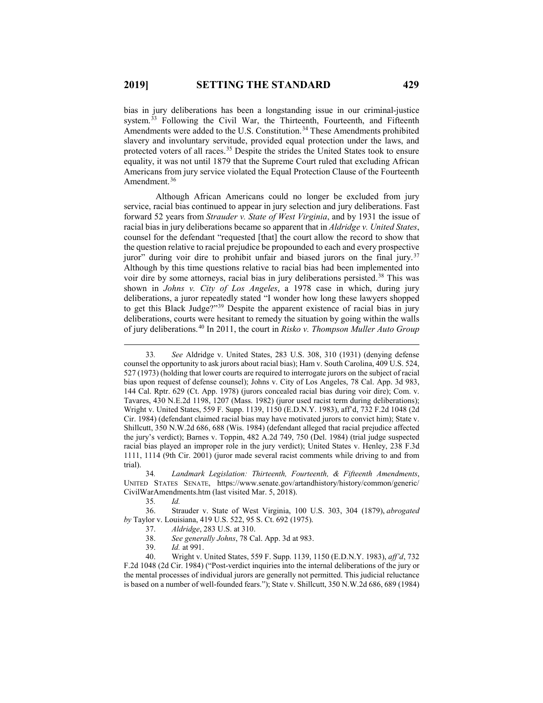bias in jury deliberations has been a longstanding issue in our criminal-justice system.<sup>[33](#page-4-0)</sup> Following the Civil War, the Thirteenth, Fourteenth, and Fifteenth Amendments were added to the U.S. Constitution.<sup>[34](#page-4-1)</sup> These Amendments prohibited slavery and involuntary servitude, provided equal protection under the laws, and protected voters of all races.<sup>[35](#page-4-2)</sup> Despite the strides the United States took to ensure equality, it was not until 1879 that the Supreme Court ruled that excluding African Americans from jury service violated the Equal Protection Clause of the Fourteenth Amendment.<sup>[36](#page-4-3)</sup>

Although African Americans could no longer be excluded from jury service, racial bias continued to appear in jury selection and jury deliberations. Fast forward 52 years from *Strauder v. State of West Virginia*, and by 1931 the issue of racial bias in jury deliberations became so apparent that in *Aldridge v. United States*, counsel for the defendant "requested [that] the court allow the record to show that the question relative to racial prejudice be propounded to each and every prospective juror" during voir dire to prohibit unfair and biased jurors on the final jury.[37](#page-4-4) Although by this time questions relative to racial bias had been implemented into voir dire by some attorneys, racial bias in jury deliberations persisted.<sup>[38](#page-4-5)</sup> This was shown in *Johns v. City of Los Angeles*, a 1978 case in which, during jury deliberations, a juror repeatedly stated "I wonder how long these lawyers shopped to get this Black Judge?"[39](#page-4-6) Despite the apparent existence of racial bias in jury deliberations, courts were hesitant to remedy the situation by going within the walls of jury deliberations.[40](#page-4-7) In 2011, the court in *Risko v. Thompson Muller Auto Group* 

<span id="page-4-0"></span> <sup>33</sup>*. See* Aldridge v. United States, 283 U.S. 308, 310 (1931) (denying defense counsel the opportunity to ask jurors about racial bias); Ham v. South Carolina, 409 U.S. 524, 527 (1973) (holding that lower courts are required to interrogate jurors on the subject of racial bias upon request of defense counsel); Johns v. City of Los Angeles, 78 Cal. App. 3d 983, 144 Cal. Rptr. 629 (Ct. App. 1978) (jurors concealed racial bias during voir dire); Com. v. Tavares, 430 N.E.2d 1198, 1207 (Mass. 1982) (juror used racist term during deliberations); Wright v. United States, 559 F. Supp. 1139, 1150 (E.D.N.Y. 1983), aff'd, 732 F.2d 1048 (2d Cir. 1984) (defendant claimed racial bias may have motivated jurors to convict him); State v. Shillcutt, 350 N.W.2d 686, 688 (Wis. 1984) (defendant alleged that racial prejudice affected the jury's verdict); Barnes v. Toppin, 482 A.2d 749, 750 (Del. 1984) (trial judge suspected racial bias played an improper role in the jury verdict); United States v. Henley, 238 F.3d 1111, 1114 (9th Cir. 2001) (juror made several racist comments while driving to and from trial).

<span id="page-4-1"></span><sup>34</sup>*. Landmark Legislation: Thirteenth, Fourteenth, & Fifteenth Amendments*, UNITED STATES SENATE, https://www.senate.gov/artandhistory/history/common/generic/ CivilWarAmendments.htm (last visited Mar. 5, 2018).

<sup>35</sup>*. Id.*

<span id="page-4-4"></span><span id="page-4-3"></span><span id="page-4-2"></span><sup>36.</sup> Strauder v. State of West Virginia, 100 U.S. 303, 304 (1879), *abrogated by* Taylor v. Louisiana, 419 U.S. 522, 95 S. Ct. 692 (1975).

<sup>37.</sup> *Aldridge*, 283 U.S. at 310.

<sup>38.</sup> *See generally Johns*, 78 Cal. App. 3d at 983.

<sup>39.</sup> *Id.* at 991.

<span id="page-4-7"></span><span id="page-4-6"></span><span id="page-4-5"></span><sup>40.</sup> Wright v. United States, 559 F. Supp. 1139, 1150 (E.D.N.Y. 1983), *aff'd*, 732 F.2d 1048 (2d Cir. 1984) ("Post-verdict inquiries into the internal deliberations of the jury or the mental processes of individual jurors are generally not permitted. This judicial reluctance is based on a number of well-founded fears."); State v. Shillcutt, 350 N.W.2d 686, 689 (1984)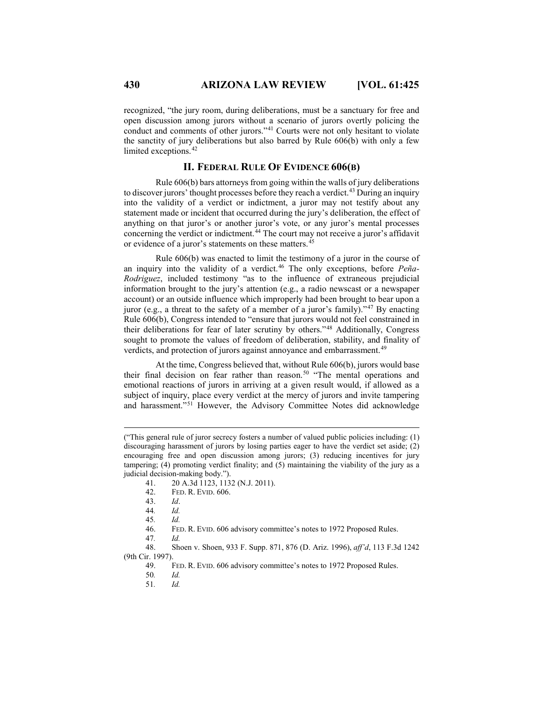recognized, "the jury room, during deliberations, must be a sanctuary for free and open discussion among jurors without a scenario of jurors overtly policing the conduct and comments of other jurors."[41](#page-5-0) Courts were not only hesitant to violate the sanctity of jury deliberations but also barred by Rule 606(b) with only a few limited exceptions.<sup>[42](#page-5-1)</sup>

#### **II. FEDERAL RULE OF EVIDENCE 606(B)**

Rule 606(b) bars attorneys from going within the walls of jury deliberations to discover jurors' thought processes before they reach a verdict.<sup>[43](#page-5-2)</sup> During an inquiry into the validity of a verdict or indictment, a juror may not testify about any statement made or incident that occurred during the jury's deliberation, the effect of anything on that juror's or another juror's vote, or any juror's mental processes concerning the verdict or indictment.<sup>[44](#page-5-3)</sup> The court may not receive a juror's affidavit or evidence of a juror's statements on these matters.<sup>[45](#page-5-4)</sup>

Rule 606(b) was enacted to limit the testimony of a juror in the course of an inquiry into the validity of a verdict. [46](#page-5-5) The only exceptions, before *Peña-Rodriguez*, included testimony "as to the influence of extraneous prejudicial information brought to the jury's attention (e.g., a radio newscast or a newspaper account) or an outside influence which improperly had been brought to bear upon a juror (e.g., a threat to the safety of a member of a juror's family)."<sup>[47](#page-5-6)</sup> By enacting Rule 606(b), Congress intended to "ensure that jurors would not feel constrained in their deliberations for fear of later scrutiny by others."[48](#page-5-7) Additionally, Congress sought to promote the values of freedom of deliberation, stability, and finality of verdicts, and protection of jurors against annoyance and embarrassment.<sup>[49](#page-5-8)</sup>

At the time, Congress believed that, without Rule 606(b), jurors would base their final decision on fear rather than reason.<sup>[50](#page-5-9)</sup> "The mental operations and emotional reactions of jurors in arriving at a given result would, if allowed as a subject of inquiry, place every verdict at the mercy of jurors and invite tampering and harassment."[51](#page-5-10) However, the Advisory Committee Notes did acknowledge

51*. Id.*

<span id="page-5-0"></span> <sup>(&</sup>quot;This general rule of juror secrecy fosters a number of valued public policies including: (1) discouraging harassment of jurors by losing parties eager to have the verdict set aside; (2) encouraging free and open discussion among jurors; (3) reducing incentives for jury tampering; (4) promoting verdict finality; and (5) maintaining the viability of the jury as a judicial decision-making body.").

<sup>41. 20</sup> A.3d 1123, 1132 (N.J. 2011).<br>42. FED. R. EVID. 606.

FED. R. EVID. 606.

<sup>43.</sup> *Id*.

<sup>44</sup>*. Id.*

<sup>45</sup>*. Id.*

<sup>46.</sup> FED. R. EVID. 606 advisory committee's notes to 1972 Proposed Rules.

<span id="page-5-10"></span><span id="page-5-9"></span><span id="page-5-8"></span><span id="page-5-7"></span><span id="page-5-6"></span><span id="page-5-5"></span><span id="page-5-4"></span><span id="page-5-3"></span><span id="page-5-2"></span><span id="page-5-1"></span><sup>47</sup>*. Id.* 48. Shoen v. Shoen, 933 F. Supp. 871, 876 (D. Ariz. 1996), *aff'd*, 113 F.3d 1242 (9th Cir. 1997).

<sup>49.</sup> FED. R. EVID. 606 advisory committee's notes to 1972 Proposed Rules.

<sup>50</sup>*. Id.*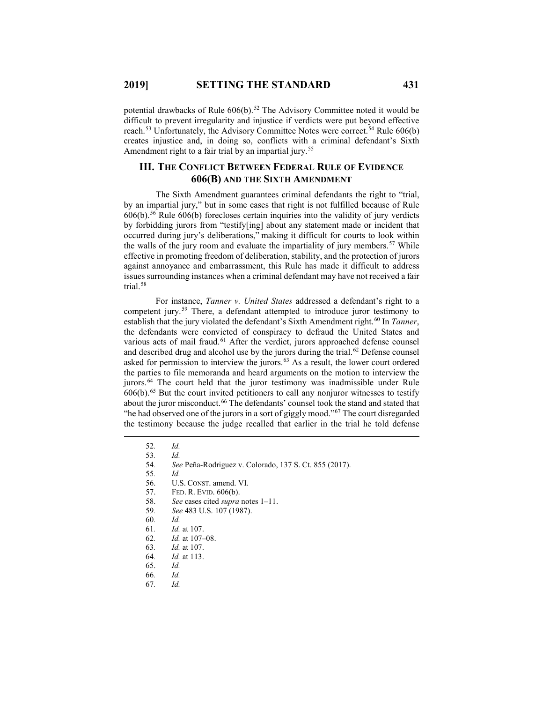potential drawbacks of Rule  $606(b)$ .<sup>[52](#page-6-0)</sup> The Advisory Committee noted it would be difficult to prevent irregularity and injustice if verdicts were put beyond effective reach.<sup>[53](#page-6-1)</sup> Unfortunately, the Advisory Committee Notes were correct.<sup>[54](#page-6-2)</sup> Rule 606(b) creates injustice and, in doing so, conflicts with a criminal defendant's Sixth Amendment right to a fair trial by an impartial jury.<sup>[55](#page-6-3)</sup>

## **III. THE CONFLICT BETWEEN FEDERAL RULE OF EVIDENCE 606(B) AND THE SIXTH AMENDMENT**

The Sixth Amendment guarantees criminal defendants the right to "trial, by an impartial jury," but in some cases that right is not fulfilled because of Rule  $606(b)$ .<sup>[56](#page-6-4)</sup> Rule  $606(b)$  forecloses certain inquiries into the validity of jury verdicts by forbidding jurors from "testify[ing] about any statement made or incident that occurred during jury's deliberations," making it difficult for courts to look within the walls of the jury room and evaluate the impartiality of jury members.<sup>[57](#page-6-5)</sup> While effective in promoting freedom of deliberation, stability, and the protection of jurors against annoyance and embarrassment, this Rule has made it difficult to address issues surrounding instances when a criminal defendant may have not received a fair trial.[58](#page-6-6)

For instance, *Tanner v. United States* addressed a defendant's right to a competent jury.[59](#page-6-7) There, a defendant attempted to introduce juror testimony to establish that the jury violated the defendant's Sixth Amendment right.<sup>[60](#page-6-8)</sup> In *Tanner*, the defendants were convicted of conspiracy to defraud the United States and various acts of mail fraud.<sup>[61](#page-6-9)</sup> After the verdict, jurors approached defense counsel and described drug and alcohol use by the jurors during the trial. $62$  Defense counsel asked for permission to interview the jurors.<sup>[63](#page-6-11)</sup> As a result, the lower court ordered the parties to file memoranda and heard arguments on the motion to interview the jurors.<sup>[64](#page-6-12)</sup> The court held that the juror testimony was inadmissible under Rule  $606(b)$ .<sup>[65](#page-6-13)</sup> But the court invited petitioners to call any nonjuror witnesses to testify about the juror misconduct.<sup>[66](#page-6-14)</sup> The defendants' counsel took the stand and stated that "he had observed one of the jurors in a sort of giggly mood."[67](#page-6-15) The court disregarded the testimony because the judge recalled that earlier in the trial he told defense

55*. Id.*

- <span id="page-6-8"></span><span id="page-6-7"></span>58. *See* cases cited *supra* notes 1–11.
- 59*. See* 483 U.S. 107 (1987).
- 60*. Id.*
- <span id="page-6-9"></span>61*. Id.* at 107.
- <span id="page-6-10"></span>62*. Id.* at 107–08.
- 63*. Id.* at 107.
- <span id="page-6-13"></span><span id="page-6-12"></span><span id="page-6-11"></span>64*. Id.* at 113.
- 65. *Id.*
- <span id="page-6-15"></span><span id="page-6-14"></span>66*. Id.*
- 67*. Id.*

<span id="page-6-6"></span><span id="page-6-5"></span><span id="page-6-4"></span><span id="page-6-3"></span><span id="page-6-2"></span><span id="page-6-1"></span><span id="page-6-0"></span> <sup>52</sup>*. Id.*

<sup>53</sup>*. Id.*

<sup>54</sup>*. See* Peña-Rodriguez v. Colorado, 137 S. Ct. 855 (2017).

<sup>56.</sup> U.S. CONST. amend. VI.<br>57. FED. R. EVID. 606(b).

FED. R. EVID. 606(b).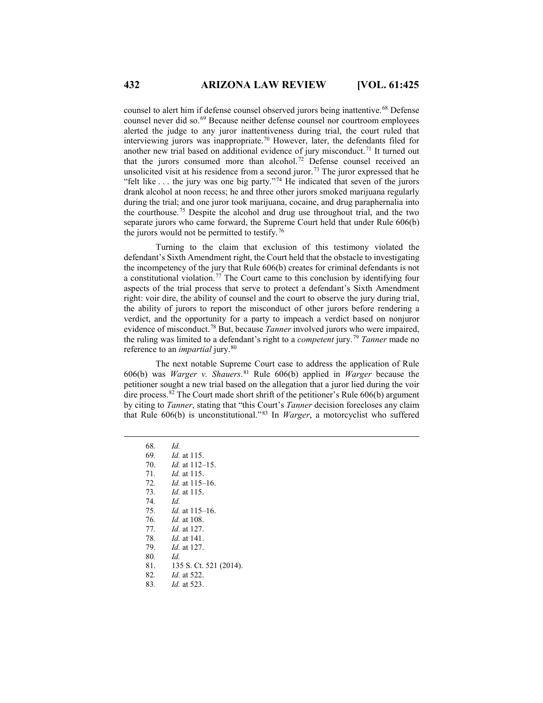counsel to alert him if defense counsel observed jurors being inattentive.<sup>[68](#page-7-0)</sup> Defense counsel never did so.<sup>[69](#page-7-1)</sup> Because neither defense counsel nor courtroom employees alerted the judge to any juror inattentiveness during trial, the court ruled that interviewing jurors was inappropriate[.70](#page-7-2) However, later, the defendants filed for another new trial based on additional evidence of jury misconduct.<sup>[71](#page-7-3)</sup> It turned out that the jurors consumed more than alcohol.<sup>[72](#page-7-4)</sup> Defense counsel received an unsolicited visit at his residence from a second juror.<sup>[73](#page-7-5)</sup> The juror expressed that he "felt like  $\dots$  the jury was one big party."<sup>[74](#page-7-6)</sup> He indicated that seven of the jurors drank alcohol at noon recess; he and three other jurors smoked marijuana regularly during the trial; and one juror took marijuana, cocaine, and drug paraphernalia into the courthouse.[75](#page-7-7) Despite the alcohol and drug use throughout trial, and the two separate jurors who came forward, the Supreme Court held that under Rule 606(b) the jurors would not be permitted to testify.[76](#page-7-8)

Turning to the claim that exclusion of this testimony violated the defendant's Sixth Amendment right, the Court held that the obstacle to investigating the incompetency of the jury that Rule 606(b) creates for criminal defendants is not a constitutional violation.[77](#page-7-9) The Court came to this conclusion by identifying four aspects of the trial process that serve to protect a defendant's Sixth Amendment right: voir dire, the ability of counsel and the court to observe the jury during trial, the ability of jurors to report the misconduct of other jurors before rendering a verdict, and the opportunity for a party to impeach a verdict based on nonjuror evidence of misconduct.[78](#page-7-10) But, because *Tanner* involved jurors who were impaired, the ruling was limited to a defendant's right to a *competent* jury.[79](#page-7-11) *Tanner* made no reference to an *impartial* jury.<sup>[80](#page-7-12)</sup>

The next notable Supreme Court case to address the application of Rule 606(b) was *Warger v. Shauers*. [81](#page-7-13) Rule 606(b) applied in *Warger* because the petitioner sought a new trial based on the allegation that a juror lied during the voir dire process.<sup>[82](#page-7-14)</sup> The Court made short shrift of the petitioner's Rule  $606(b)$  argument by citing to *Tanner*, stating that "this Court's *Tanner* decision forecloses any claim that Rule 606(b) is unconstitutional."[83](#page-7-15) In *Warger*, a motorcyclist who suffered

<span id="page-7-15"></span><span id="page-7-14"></span><span id="page-7-13"></span><span id="page-7-12"></span><span id="page-7-11"></span><span id="page-7-10"></span><span id="page-7-9"></span><span id="page-7-8"></span><span id="page-7-7"></span><span id="page-7-6"></span><span id="page-7-5"></span><span id="page-7-4"></span><span id="page-7-3"></span><span id="page-7-2"></span><span id="page-7-1"></span><span id="page-7-0"></span> 68*. Id. . Id.* at 115. 70. *Id.* at 112–15. *. Id.* at 115. *. Id.* at 115–16. *. Id.* at 115. 74*. Id. . Id.* at 115–16. *. Id.* at 108. *. Id.* at 127. *. Id.* at 141. 79. *Id.* at 127. 80*. Id.* 81. 135 S. Ct. 521 (2014). *. Id.* at 522. *. Id.* at 523.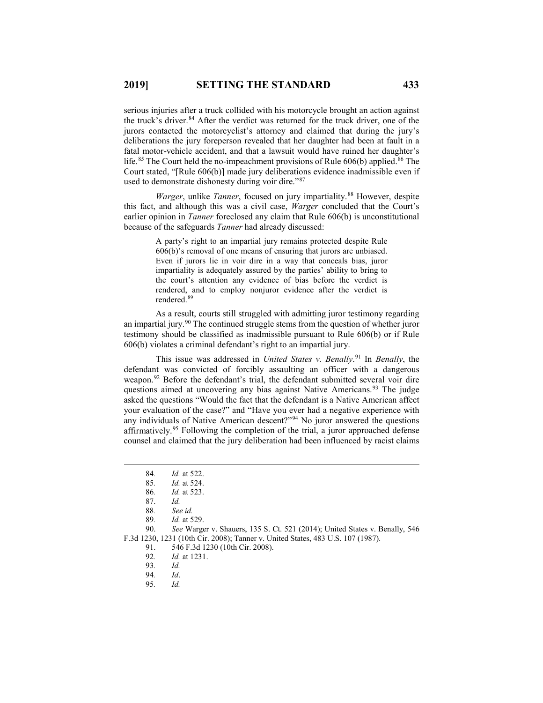serious injuries after a truck collided with his motorcycle brought an action against the truck's driver.<sup>[84](#page-8-0)</sup> After the verdict was returned for the truck driver, one of the jurors contacted the motorcyclist's attorney and claimed that during the jury's deliberations the jury foreperson revealed that her daughter had been at fault in a fatal motor-vehicle accident, and that a lawsuit would have ruined her daughter's life.<sup>[85](#page-8-1)</sup> The Court held the no-impeachment provisions of Rule  $606(b)$  applied.<sup>[86](#page-8-2)</sup> The Court stated, "[Rule 606(b)] made jury deliberations evidence inadmissible even if used to demonstrate dishonesty during voir dire."<sup>[87](#page-8-3)</sup>

*Warger*, unlike *Tanner*, focused on jury impartiality. [88](#page-8-4) However, despite this fact, and although this was a civil case, *Warger* concluded that the Court's earlier opinion in *Tanner* foreclosed any claim that Rule 606(b) is unconstitutional because of the safeguards *Tanner* had already discussed:

> A party's right to an impartial jury remains protected despite Rule 606(b)'s removal of one means of ensuring that jurors are unbiased. Even if jurors lie in voir dire in a way that conceals bias, juror impartiality is adequately assured by the parties' ability to bring to the court's attention any evidence of bias before the verdict is rendered, and to employ nonjuror evidence after the verdict is rendered. [89](#page-8-5)

As a result, courts still struggled with admitting juror testimony regarding an impartial jury.[90](#page-8-6) The continued struggle stems from the question of whether juror testimony should be classified as inadmissible pursuant to Rule 606(b) or if Rule 606(b) violates a criminal defendant's right to an impartial jury.

This issue was addressed in *United States v. Benally*. [91](#page-8-7) In *Benally*, the defendant was convicted of forcibly assaulting an officer with a dangerous weapon.<sup>[92](#page-8-8)</sup> Before the defendant's trial, the defendant submitted several voir dire questions aimed at uncovering any bias against Native Americans.<sup>[93](#page-8-9)</sup> The judge asked the questions "Would the fact that the defendant is a Native American affect your evaluation of the case?" and "Have you ever had a negative experience with any individuals of Native American descent?"<sup>[94](#page-8-10)</sup> No juror answered the questions affirmatively.[95](#page-8-11) Following the completion of the trial, a juror approached defense counsel and claimed that the jury deliberation had been influenced by racist claims

<span id="page-8-11"></span><span id="page-8-10"></span><span id="page-8-9"></span><span id="page-8-8"></span><span id="page-8-7"></span><span id="page-8-6"></span><span id="page-8-5"></span><span id="page-8-4"></span><span id="page-8-3"></span><span id="page-8-2"></span><span id="page-8-1"></span><span id="page-8-0"></span>90. *See* Warger v. Shauers, 135 S. Ct. 521 (2014); United States v. Benally, 546 F.3d 1230, 1231 (10th Cir. 2008); Tanner v. United States, 483 U.S. 107 (1987). 91. 546 F.3d 1230 (10th Cir. 2008).

 <sup>84</sup>*. Id.* at 522.

<sup>85</sup>*. Id.* at 524. 86*. Id.* at 523.

<sup>87.</sup> *Id.*

<sup>88</sup>*. See id.*

<sup>89</sup>*. Id.* at 529.

<sup>92</sup>*. Id.* at 1231.

<sup>93</sup>*. Id.*

<sup>94</sup>*. Id*.

<sup>95</sup>*. Id.*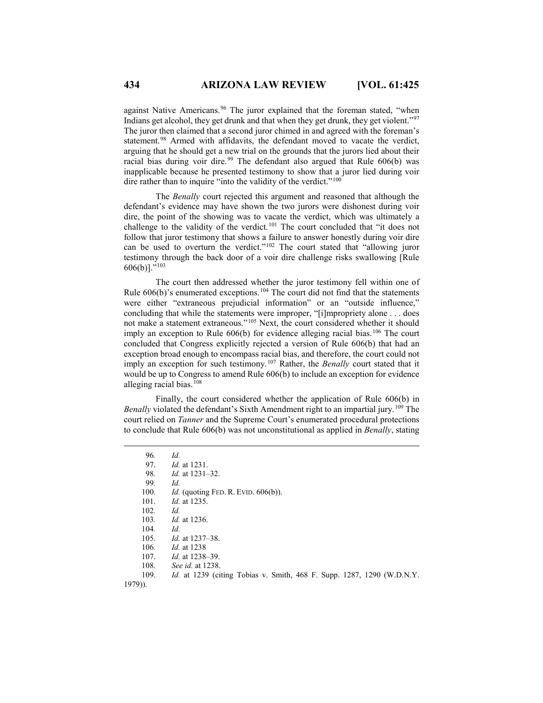against Native Americans.<sup>[96](#page-9-0)</sup> The juror explained that the foreman stated, "when Indians get alcohol, they get drunk and that when they get drunk, they get violent."[97](#page-9-1) The juror then claimed that a second juror chimed in and agreed with the foreman's statement.<sup>[98](#page-9-2)</sup> Armed with affidavits, the defendant moved to vacate the verdict, arguing that he should get a new trial on the grounds that the jurors lied about their racial bias during voir dire.<sup>[99](#page-9-3)</sup> The defendant also argued that Rule 606(b) was inapplicable because he presented testimony to show that a juror lied during voir dire rather than to inquire "into the validity of the verdict."<sup>[100](#page-9-4)</sup>

The *Benally* court rejected this argument and reasoned that although the defendant's evidence may have shown the two jurors were dishonest during voir dire, the point of the showing was to vacate the verdict, which was ultimately a challenge to the validity of the verdict.<sup>[101](#page-9-5)</sup> The court concluded that "it does not follow that juror testimony that shows a failure to answer honestly during voir dire can be used to overturn the verdict."<sup>[102](#page-9-6)</sup> The court stated that "allowing juror testimony through the back door of a voir dire challenge risks swallowing [Rule 606(b)]."[103](#page-9-7)

The court then addressed whether the juror testimony fell within one of Rule  $606(b)$ 's enumerated exceptions.<sup>[104](#page-9-8)</sup> The court did not find that the statements were either "extraneous prejudicial information" or an "outside influence," concluding that while the statements were improper, "[i]mpropriety alone . . . does not make a statement extraneous."[105](#page-9-9) Next, the court considered whether it should imply an exception to Rule  $606(b)$  for evidence alleging racial bias.<sup>[106](#page-9-10)</sup> The court concluded that Congress explicitly rejected a version of Rule 606(b) that had an exception broad enough to encompass racial bias, and therefore, the court could not imply an exception for such testimony.[107](#page-9-11) Rather, the *Benally* court stated that it would be up to Congress to amend Rule 606(b) to include an exception for evidence alleging racial bias.<sup>[108](#page-9-12)</sup>

Finally, the court considered whether the application of Rule 606(b) in Benally violated the defendant's Sixth Amendment right to an impartial jury.<sup>[109](#page-9-13)</sup> The court relied on *Tanner* and the Supreme Court's enumerated procedural protections to conclude that Rule 606(b) was not unconstitutional as applied in *Benally*, stating

<span id="page-9-13"></span><span id="page-9-12"></span><span id="page-9-11"></span><span id="page-9-10"></span><span id="page-9-9"></span><span id="page-9-8"></span><span id="page-9-7"></span><span id="page-9-6"></span><span id="page-9-5"></span><span id="page-9-4"></span><span id="page-9-3"></span><span id="page-9-2"></span><span id="page-9-1"></span><span id="page-9-0"></span>

| 96.       | Id.                                                                           |
|-----------|-------------------------------------------------------------------------------|
| 97.       | <i>Id.</i> at 1231.                                                           |
| 98.       | <i>Id.</i> at 1231–32.                                                        |
| 99.       | Id.                                                                           |
| 100.      | <i>Id.</i> (quoting FED. R. EVID. $606(b)$ ).                                 |
| 101.      | <i>Id.</i> at 1235.                                                           |
| 102.      | Id.                                                                           |
| 103.      | <i>Id.</i> at 1236.                                                           |
| 104.      | Id.                                                                           |
| 105.      | <i>Id.</i> at 1237–38.                                                        |
| 106.      | <i>Id.</i> at 1238                                                            |
| 107.      | <i>Id.</i> at 1238–39.                                                        |
| 108.      | See id. at 1238.                                                              |
| 109.      | <i>Id.</i> at 1239 (citing Tobias v. Smith, 468 F. Supp. 1287, 1290 (W.D.N.Y. |
| $1979$ ). |                                                                               |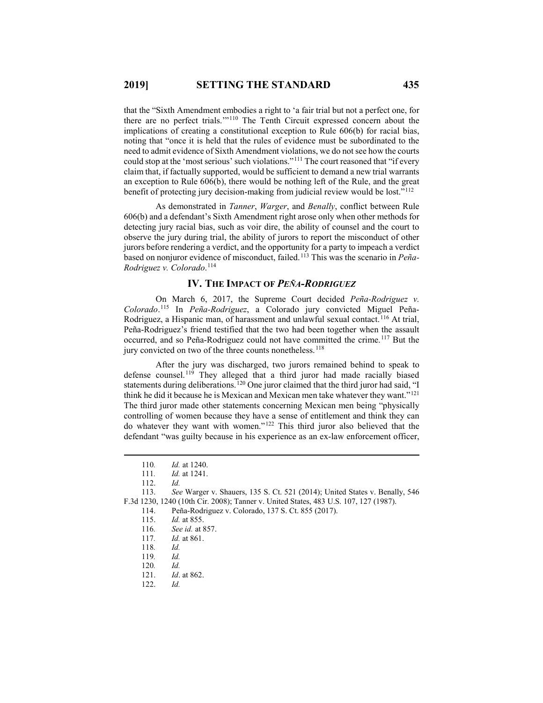that the "Sixth Amendment embodies a right to 'a fair trial but not a perfect one, for there are no perfect trials.'"[110](#page-10-0) The Tenth Circuit expressed concern about the implications of creating a constitutional exception to Rule 606(b) for racial bias, noting that "once it is held that the rules of evidence must be subordinated to the need to admit evidence of Sixth Amendment violations, we do not see how the courts could stop at the 'most serious' such violations."[111](#page-10-1) The court reasoned that "if every claim that, if factually supported, would be sufficient to demand a new trial warrants an exception to Rule 606(b), there would be nothing left of the Rule, and the great benefit of protecting jury decision-making from judicial review would be lost."<sup>[112](#page-10-2)</sup>

As demonstrated in *Tanner*, *Warger*, and *Benally*, conflict between Rule 606(b) and a defendant's Sixth Amendment right arose only when other methods for detecting jury racial bias, such as voir dire, the ability of counsel and the court to observe the jury during trial, the ability of jurors to report the misconduct of other jurors before rendering a verdict, and the opportunity for a party to impeach a verdict based on nonjuror evidence of misconduct, failed.[113](#page-10-3) This was the scenario in *Peña-Rodriguez v. Colorado*. [114](#page-10-4)

#### **IV. THE IMPACT OF** *PEÑA-RODRIGUEZ*

On March 6, 2017, the Supreme Court decided *Peña-Rodriguez v. Colorado*. [115](#page-10-5) In *Peña-Rodriguez*, a Colorado jury convicted Miguel Peña-Rodriguez, a Hispanic man, of harassment and unlawful sexual contact.<sup>[116](#page-10-6)</sup> At trial, Peña-Rodriguez's friend testified that the two had been together when the assault occurred, and so Peña-Rodriguez could not have committed the crime.[117](#page-10-7) But the jury convicted on two of the three counts nonetheless.<sup>[118](#page-10-8)</sup>

After the jury was discharged, two jurors remained behind to speak to defense counsel.[119](#page-10-9) They alleged that a third juror had made racially biased statements during deliberations.<sup>[120](#page-10-10)</sup> One juror claimed that the third juror had said, "I think he did it because he is Mexican and Mexican men take whatever they want."[121](#page-10-11) The third juror made other statements concerning Mexican men being "physically controlling of women because they have a sense of entitlement and think they can do whatever they want with women."[122](#page-10-12) This third juror also believed that the defendant "was guilty because in his experience as an ex-law enforcement officer,

 <sup>110</sup>*. Id.* at 1240.

<sup>111</sup>*. Id.* at 1241.

<span id="page-10-8"></span><span id="page-10-7"></span><span id="page-10-6"></span><span id="page-10-5"></span><span id="page-10-4"></span><span id="page-10-3"></span><span id="page-10-2"></span><span id="page-10-1"></span><span id="page-10-0"></span><sup>112.</sup> *Id.* 113. *See* Warger v. Shauers, 135 S. Ct. 521 (2014); United States v. Benally, 546 F.3d 1230, 1240 (10th Cir. 2008); Tanner v. United States, 483 U.S. 107, 127 (1987).

<sup>114.</sup> Peña-Rodriguez v. Colorado, 137 S. Ct. 855 (2017).

<sup>115.</sup> *Id.* at 855.

<sup>116</sup>*. See id.* at 857.

<sup>117</sup>*. Id.* at 861.

<sup>118</sup>*. Id.*

<sup>119</sup>*. Id.*

<span id="page-10-11"></span><span id="page-10-10"></span><span id="page-10-9"></span><sup>120</sup>*. Id.*

<sup>121.</sup> *Id*. at 862.

<span id="page-10-12"></span><sup>122.</sup> *Id.*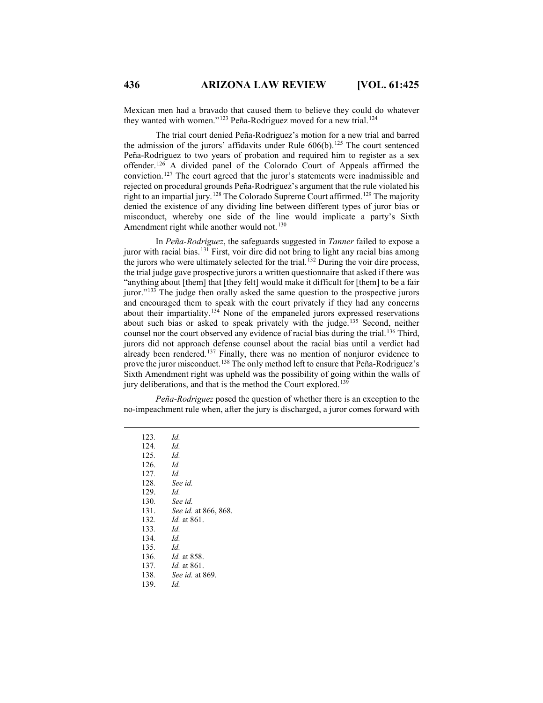Mexican men had a bravado that caused them to believe they could do whatever they wanted with women."<sup>[123](#page-11-0)</sup> Peña-Rodriguez moved for a new trial.<sup>[124](#page-11-1)</sup>

The trial court denied Peña-Rodriguez's motion for a new trial and barred the admission of the jurors' affidavits under Rule  $606(b)$ .<sup>[125](#page-11-2)</sup> The court sentenced Peña-Rodriguez to two years of probation and required him to register as a sex offender.[126](#page-11-3) A divided panel of the Colorado Court of Appeals affirmed the conviction.[127](#page-11-4) The court agreed that the juror's statements were inadmissible and rejected on procedural grounds Peña-Rodriguez's argument that the rule violated his right to an impartial jury.[128](#page-11-5) The Colorado Supreme Court affirmed.[129](#page-11-6) The majority denied the existence of any dividing line between different types of juror bias or misconduct, whereby one side of the line would implicate a party's Sixth Amendment right while another would not.<sup>[130](#page-11-7)</sup>

In *Peña-Rodriguez*, the safeguards suggested in *Tanner* failed to expose a juror with racial bias. [131](#page-11-8) First, voir dire did not bring to light any racial bias among the jurors who were ultimately selected for the trial.<sup>[132](#page-11-9)</sup> During the voir dire process, the trial judge gave prospective jurors a written questionnaire that asked if there was "anything about [them] that [they felt] would make it difficult for [them] to be a fair juror."[133](#page-11-10) The judge then orally asked the same question to the prospective jurors and encouraged them to speak with the court privately if they had any concerns about their impartiality.[134](#page-11-11) None of the empaneled jurors expressed reservations about such bias or asked to speak privately with the judge.[135](#page-11-12) Second, neither counsel nor the court observed any evidence of racial bias during the trial.<sup>[136](#page-11-13)</sup> Third, jurors did not approach defense counsel about the racial bias until a verdict had already been rendered.<sup>[137](#page-11-14)</sup> Finally, there was no mention of nonjuror evidence to prove the juror misconduct.[138](#page-11-15) The only method left to ensure that Peña-Rodriguez's Sixth Amendment right was upheld was the possibility of going within the walls of jury deliberations, and that is the method the Court explored.<sup>13</sup>

<span id="page-11-3"></span><span id="page-11-2"></span><span id="page-11-1"></span><span id="page-11-0"></span>*Peña-Rodriguez* posed the question of whether there is an exception to the no-impeachment rule when, after the jury is discharged, a juror comes forward with

<span id="page-11-16"></span><span id="page-11-15"></span><span id="page-11-14"></span><span id="page-11-13"></span><span id="page-11-12"></span><span id="page-11-11"></span><span id="page-11-10"></span><span id="page-11-9"></span><span id="page-11-8"></span><span id="page-11-7"></span><span id="page-11-6"></span><span id="page-11-5"></span><span id="page-11-4"></span> 123*. Id.* 124*. Id.* 125*. Id.* 126. *Id.* 127*. Id.* 128*. See id.* 129. *Id.* 130*. See id.* 131. *See id.* at 866, 868. 132*. Id.* at 861. 133*. Id.* 134*. Id.* 135*. Id.* 136*. Id.* at 858. 137*. Id.* at 861. 138*. See id.* at 869. 139. *Id.*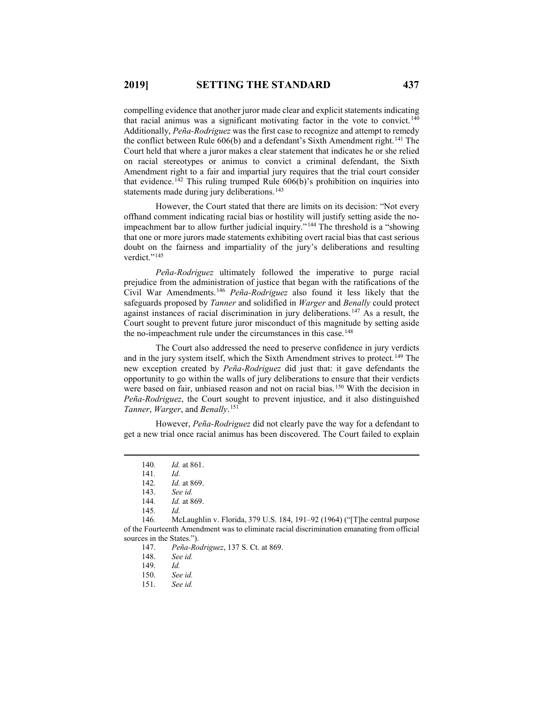compelling evidence that another juror made clear and explicit statements indicating that racial animus was a significant motivating factor in the vote to convict.<sup>[140](#page-12-0)</sup> Additionally, *Peña-Rodriguez* was the first case to recognize and attempt to remedy the conflict between Rule 606(b) and a defendant's Sixth Amendment right.<sup>[141](#page-12-1)</sup> The Court held that where a juror makes a clear statement that indicates he or she relied on racial stereotypes or animus to convict a criminal defendant, the Sixth Amendment right to a fair and impartial jury requires that the trial court consider that evidence.<sup>[142](#page-12-2)</sup> This ruling trumped Rule  $606(b)$ 's prohibition on inquiries into statements made during jury deliberations.<sup>[143](#page-12-3)</sup>

However, the Court stated that there are limits on its decision: "Not every offhand comment indicating racial bias or hostility will justify setting aside the noimpeachment bar to allow further judicial inquiry."[144](#page-12-4) The threshold is a "showing that one or more jurors made statements exhibiting overt racial bias that cast serious doubt on the fairness and impartiality of the jury's deliberations and resulting verdict."<sup>[145](#page-12-5)</sup>

*Peña-Rodriguez* ultimately followed the imperative to purge racial prejudice from the administration of justice that began with the ratifications of the Civil War Amendments.[146](#page-12-6) *Peña-Rodriguez* also found it less likely that the safeguards proposed by *Tanner* and solidified in *Warger* and *Benally* could protect against instances of racial discrimination in jury deliberations.[147](#page-12-7) As a result, the Court sought to prevent future juror misconduct of this magnitude by setting aside the no-impeachment rule under the circumstances in this case.<sup>[148](#page-12-8)</sup>

The Court also addressed the need to preserve confidence in jury verdicts and in the jury system itself, which the Sixth Amendment strives to protect.<sup>[149](#page-12-9)</sup> The new exception created by *Peña-Rodriguez* did just that: it gave defendants the opportunity to go within the walls of jury deliberations to ensure that their verdicts were based on fair, unbiased reason and not on racial bias.<sup>[150](#page-12-10)</sup> With the decision in *Peña-Rodriguez*, the Court sought to prevent injustice, and it also distinguished *Tanner*, *Warger*, and *Benally*. [151](#page-12-11)

<span id="page-12-0"></span>However, *Peña-Rodriguez* did not clearly pave the way for a defendant to get a new trial once racial animus has been discovered. The Court failed to explain

 <sup>140</sup>*. Id.* at 861.

<sup>141</sup>*. Id.*

<sup>142.</sup> *Id.* at 869.<br>143. *See id.* 

See id.

<sup>144</sup>*. Id.* at 869.

<sup>145</sup>*. Id.*

<span id="page-12-11"></span><span id="page-12-10"></span><span id="page-12-9"></span><span id="page-12-8"></span><span id="page-12-7"></span><span id="page-12-6"></span><span id="page-12-5"></span><span id="page-12-4"></span><span id="page-12-3"></span><span id="page-12-2"></span><span id="page-12-1"></span><sup>146</sup>*.* McLaughlin v. Florida, 379 U.S. 184, 191–92 (1964) ("[T]he central purpose of the Fourteenth Amendment was to eliminate racial discrimination emanating from official sources in the States.").

<sup>147.</sup> *Peña-Rodriguez*, 137 S. Ct. at 869.

See *id.* 

<sup>149.</sup> *Id.*

<sup>150.</sup> *See id.*

<sup>151.</sup> *See id.*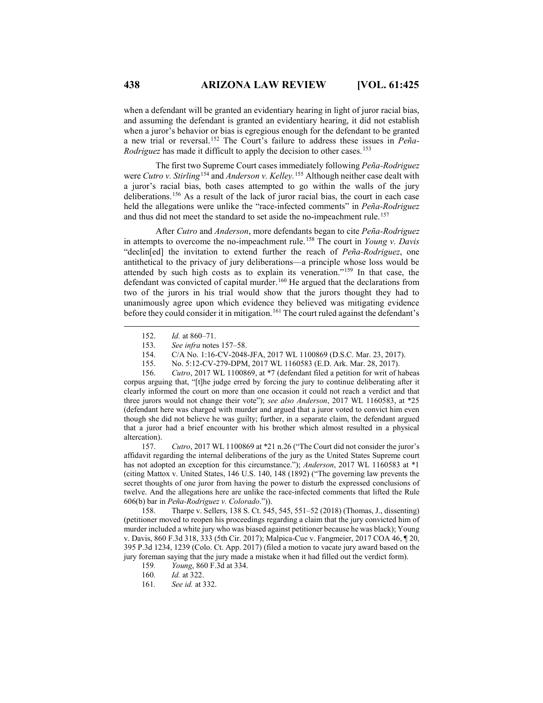when a defendant will be granted an evidentiary hearing in light of juror racial bias, and assuming the defendant is granted an evidentiary hearing, it did not establish when a juror's behavior or bias is egregious enough for the defendant to be granted a new trial or reversal.[152](#page-13-0) The Court's failure to address these issues in *Peña-Rodriguez* has made it difficult to apply the decision to other cases.<sup>[153](#page-13-1)</sup>

The first two Supreme Court cases immediately following *Peña-Rodriguez* were *Cutro v. Stirling*[154](#page-13-2) and *Anderson v. Kelley.* [155](#page-13-3) Although neither case dealt with a juror's racial bias, both cases attempted to go within the walls of the jury deliberations.[156](#page-13-4) As a result of the lack of juror racial bias, the court in each case held the allegations were unlike the "race-infected comments" in *Peña-Rodriguez* and thus did not meet the standard to set aside the no-impeachment rule.<sup>[157](#page-13-5)</sup>

After *Cutro* and *Anderson*, more defendants began to cite *Peña-Rodriguez* in attempts to overcome the no-impeachment rule.[158](#page-13-6) The court in *Young v. Davis* "declin[ed] the invitation to extend further the reach of *Peña-Rodriguez*, one antithetical to the privacy of jury deliberations—a principle whose loss would be attended by such high costs as to explain its veneration."[159](#page-13-7) In that case, the defendant was convicted of capital murder.<sup>[160](#page-13-8)</sup> He argued that the declarations from two of the jurors in his trial would show that the jurors thought they had to unanimously agree upon which evidence they believed was mitigating evidence before they could consider it in mitigation.<sup>[161](#page-13-9)</sup> The court ruled against the defendant's

155. No. 5:12-CV-279-DPM, 2017 WL 1160583 (E.D. Ark. Mar. 28, 2017).

<span id="page-13-4"></span><span id="page-13-3"></span><span id="page-13-2"></span><span id="page-13-1"></span><span id="page-13-0"></span>156. *Cutro*, 2017 WL 1100869, at \*7 (defendant filed a petition for writ of habeas corpus arguing that, "[t]he judge erred by forcing the jury to continue deliberating after it clearly informed the court on more than one occasion it could not reach a verdict and that three jurors would not change their vote"); *see also Anderson*, 2017 WL 1160583, at \*25 (defendant here was charged with murder and argued that a juror voted to convict him even though she did not believe he was guilty; further, in a separate claim, the defendant argued that a juror had a brief encounter with his brother which almost resulted in a physical altercation).

<span id="page-13-5"></span>157. *Cutro*, 2017 WL 1100869 at \*21 n.26 ("The Court did not consider the juror's affidavit regarding the internal deliberations of the jury as the United States Supreme court has not adopted an exception for this circumstance."); *Anderson*, 2017 WL 1160583 at \*1 (citing Mattox v. United States, 146 U.S. 140, 148 (1892) ("The governing law prevents the secret thoughts of one juror from having the power to disturb the expressed conclusions of twelve. And the allegations here are unlike the race-infected comments that lifted the Rule 606(b) bar in *Peña-Rodriguez v. Colorado*.")).

<span id="page-13-8"></span><span id="page-13-7"></span><span id="page-13-6"></span>158. Tharpe v. Sellers, 138 S. Ct. 545, 545, 551–52 (2018) (Thomas, J., dissenting) (petitioner moved to reopen his proceedings regarding a claim that the jury convicted him of murder included a white jury who was biased against petitioner because he was black); Young v. Davis, 860 F.3d 318, 333 (5th Cir. 2017); Malpica-Cue v. Fangmeier, 2017 COA 46, ¶ 20, 395 P.3d 1234, 1239 (Colo. Ct. App. 2017) (filed a motion to vacate jury award based on the jury foreman saying that the jury made a mistake when it had filled out the verdict form).

- 159*. Young*, 860 F.3d at 334.
- 160*. Id.* at 322.
- <span id="page-13-9"></span>161*. See id.* at 332.

 <sup>152.</sup> *Id.* at 860–71.

<sup>153.</sup> *See infra* notes 157–58.

<sup>154.</sup> C/A No. 1:16-CV-2048-JFA, 2017 WL 1100869 (D.S.C. Mar. 23, 2017).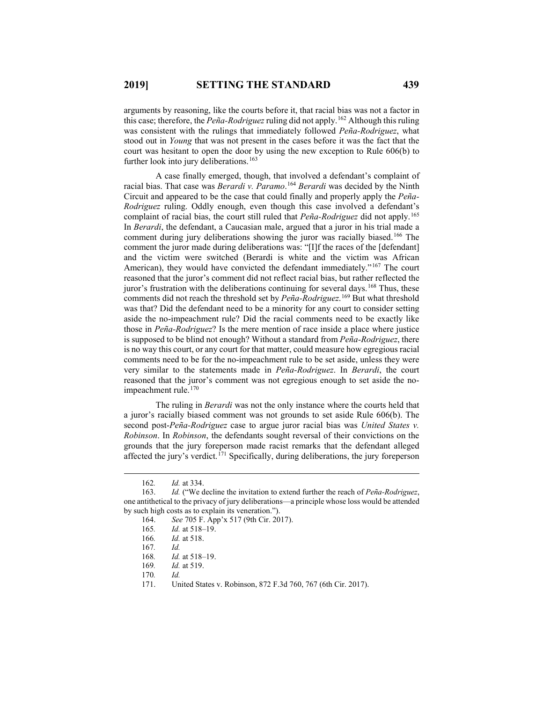arguments by reasoning, like the courts before it, that racial bias was not a factor in this case; therefore, the *Peña-Rodriguez* ruling did not apply. [162](#page-14-0) Although this ruling was consistent with the rulings that immediately followed *Peña-Rodriguez*, what stood out in *Young* that was not present in the cases before it was the fact that the court was hesitant to open the door by using the new exception to Rule 606(b) to further look into jury deliberations.<sup>[163](#page-14-1)</sup>

A case finally emerged, though, that involved a defendant's complaint of racial bias. That case was *Berardi v. Paramo*. [164](#page-14-2) *Berardi* was decided by the Ninth Circuit and appeared to be the case that could finally and properly apply the *Peña-Rodriguez* ruling. Oddly enough, even though this case involved a defendant's complaint of racial bias, the court still ruled that *Peña-Rodriguez* did not apply.[165](#page-14-3) In *Berardi*, the defendant, a Caucasian male, argued that a juror in his trial made a comment during jury deliberations showing the juror was racially biased.<sup>[166](#page-14-4)</sup> The comment the juror made during deliberations was: "[I]f the races of the [defendant] and the victim were switched (Berardi is white and the victim was African American), they would have convicted the defendant immediately."<sup>[167](#page-14-5)</sup> The court reasoned that the juror's comment did not reflect racial bias, but rather reflected the juror's frustration with the deliberations continuing for several days.<sup>[168](#page-14-6)</sup> Thus, these comments did not reach the threshold set by *Peña-Rodriguez*. [169](#page-14-7) But what threshold was that? Did the defendant need to be a minority for any court to consider setting aside the no-impeachment rule? Did the racial comments need to be exactly like those in *Peña-Rodriguez*? Is the mere mention of race inside a place where justice is supposed to be blind not enough? Without a standard from *Peña-Rodriguez*, there is no way this court, or any court for that matter, could measure how egregious racial comments need to be for the no-impeachment rule to be set aside, unless they were very similar to the statements made in *Peña-Rodriguez*. In *Berardi*, the court reasoned that the juror's comment was not egregious enough to set aside the no-impeachment rule.<sup>[170](#page-14-8)</sup>

The ruling in *Berardi* was not the only instance where the courts held that a juror's racially biased comment was not grounds to set aside Rule 606(b). The second post-*Peña-Rodriguez* case to argue juror racial bias was *United States v. Robinson*. In *Robinson*, the defendants sought reversal of their convictions on the grounds that the jury foreperson made racist remarks that the defendant alleged affected the jury's verdict.<sup> $171$ </sup> Specifically, during deliberations, the jury foreperson

<sup>162.</sup> *Id.* at 334.<br>163. *Id.* ("We d

<span id="page-14-6"></span><span id="page-14-5"></span><span id="page-14-4"></span><span id="page-14-3"></span><span id="page-14-2"></span><span id="page-14-1"></span><span id="page-14-0"></span>Id. ("We decline the invitation to extend further the reach of *Peña-Rodriguez*, one antithetical to the privacy of jury deliberations—a principle whose loss would be attended by such high costs as to explain its veneration.").

<sup>164.</sup> *See* 705 F. App'x 517 (9th Cir. 2017).

<sup>165</sup>*. Id.* at 518–19.

<sup>166</sup>*. Id.* at 518.

<sup>167</sup>*. Id. Id.* at 518-19.

<span id="page-14-7"></span><sup>169</sup>*. Id.* at 519.

<span id="page-14-8"></span><sup>170</sup>*. Id.*

<span id="page-14-9"></span><sup>171.</sup> United States v. Robinson, 872 F.3d 760, 767 (6th Cir. 2017).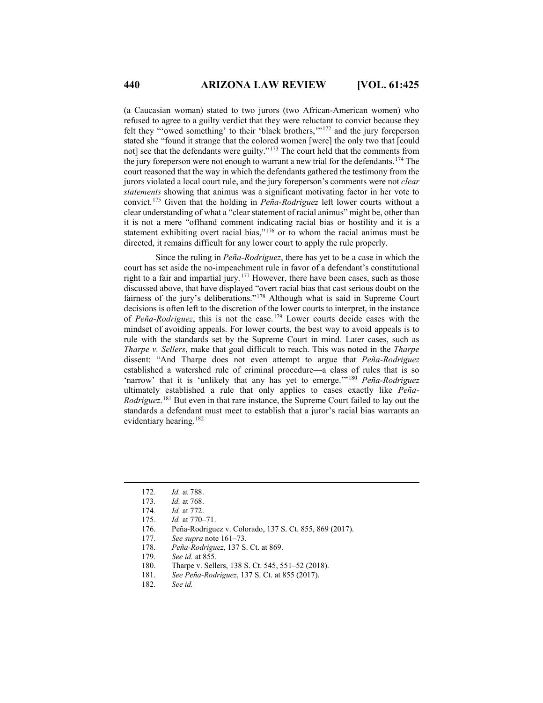(a Caucasian woman) stated to two jurors (two African-American women) who refused to agree to a guilty verdict that they were reluctant to convict because they felt they "'owed something' to their 'black brothers,'"[172](#page-15-0) and the jury foreperson stated she "found it strange that the colored women [were] the only two that [could not] see that the defendants were guilty."[173](#page-15-1) The court held that the comments from the jury foreperson were not enough to warrant a new trial for the defendants.<sup>[174](#page-15-2)</sup> The court reasoned that the way in which the defendants gathered the testimony from the jurors violated a local court rule, and the jury foreperson's comments were not *clear statements* showing that animus was a significant motivating factor in her vote to convict.[175](#page-15-3) Given that the holding in *Peña-Rodriguez* left lower courts without a clear understanding of what a "clear statement of racial animus" might be, other than it is not a mere "offhand comment indicating racial bias or hostility and it is a statement exhibiting overt racial bias,"<sup>[176](#page-15-4)</sup> or to whom the racial animus must be directed, it remains difficult for any lower court to apply the rule properly.

Since the ruling in *Peña-Rodriguez*, there has yet to be a case in which the court has set aside the no-impeachment rule in favor of a defendant's constitutional right to a fair and impartial jury.<sup>[177](#page-15-5)</sup> However, there have been cases, such as those discussed above, that have displayed "overt racial bias that cast serious doubt on the fairness of the jury's deliberations."[178](#page-15-6) Although what is said in Supreme Court decisions is often left to the discretion of the lower courts to interpret, in the instance of *Peña-Rodriguez*, this is not the case.[179](#page-15-7) Lower courts decide cases with the mindset of avoiding appeals. For lower courts, the best way to avoid appeals is to rule with the standards set by the Supreme Court in mind. Later cases, such as *Tharpe v. Sellers*, make that goal difficult to reach. This was noted in the *Tharpe* dissent: "And Tharpe does not even attempt to argue that *Peña-Rodriguez* established a watershed rule of criminal procedure—a class of rules that is so 'narrow' that it is 'unlikely that any has yet to emerge.'"[180](#page-15-8) *Peña-Rodriguez* ultimately established a rule that only applies to cases exactly like *Peña-Rodriguez*. [181](#page-15-9) But even in that rare instance, the Supreme Court failed to lay out the standards a defendant must meet to establish that a juror's racial bias warrants an evidentiary hearing.<sup>[182](#page-15-10)</sup>

- 174*. Id.* at 772.
- <span id="page-15-3"></span><span id="page-15-2"></span>175*. Id.* at 770–71.
- <span id="page-15-4"></span>176. Peña-Rodriguez v. Colorado, 137 S. Ct. 855, 869 (2017).
- <span id="page-15-5"></span>177. *See supra* note 161–73.
- 178. *Peña-Rodriguez*, 137 S. Ct. at 869.
- <span id="page-15-8"></span><span id="page-15-7"></span><span id="page-15-6"></span>See *id.* at 855.
- 180. Tharpe v. Sellers, 138 S. Ct. 545, 551–52 (2018).
- <span id="page-15-9"></span>181. *See Peña-Rodriguez*, 137 S. Ct. at 855 (2017).
- <span id="page-15-10"></span>182. *See id.*

<span id="page-15-0"></span> <sup>172</sup>*. Id.* at 788.

<span id="page-15-1"></span><sup>173</sup>*. Id.* at 768.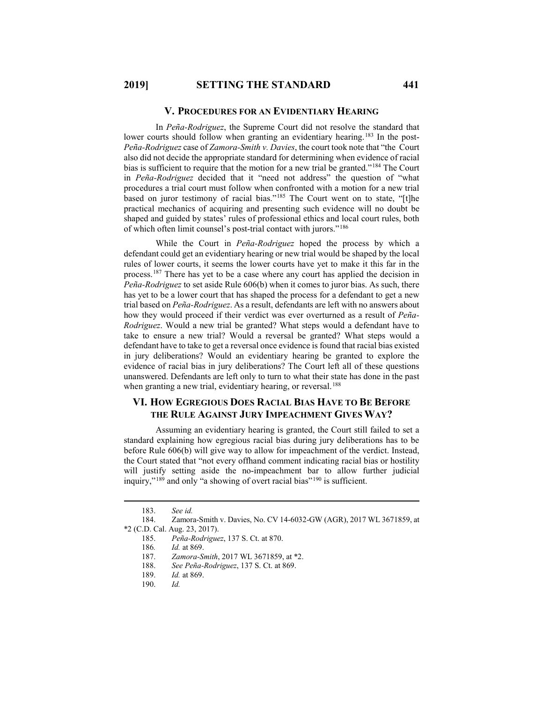#### **V. PROCEDURES FOR AN EVIDENTIARY HEARING**

In *Peña-Rodriguez*, the Supreme Court did not resolve the standard that lower courts should follow when granting an evidentiary hearing.<sup>[183](#page-16-0)</sup> In the post-*Peña-Rodriguez* case of *Zamora-Smith v. Davies*, the court took note that "the Court also did not decide the appropriate standard for determining when evidence of racial bias is sufficient to require that the motion for a new trial be granted."<sup>[184](#page-16-1)</sup> The Court in *Peña-Rodriguez* decided that it "need not address" the question of "what procedures a trial court must follow when confronted with a motion for a new trial based on juror testimony of racial bias."[185](#page-16-2) The Court went on to state, "[t]he practical mechanics of acquiring and presenting such evidence will no doubt be shaped and guided by states' rules of professional ethics and local court rules, both of which often limit counsel's post-trial contact with jurors."[186](#page-16-3)

While the Court in *Peña-Rodriguez* hoped the process by which a defendant could get an evidentiary hearing or new trial would be shaped by the local rules of lower courts, it seems the lower courts have yet to make it this far in the process.[187](#page-16-4) There has yet to be a case where any court has applied the decision in *Peña-Rodriguez* to set aside Rule 606(b) when it comes to juror bias. As such, there has yet to be a lower court that has shaped the process for a defendant to get a new trial based on *Peña-Rodriguez*. As a result, defendants are left with no answers about how they would proceed if their verdict was ever overturned as a result of *Peña-Rodriguez*. Would a new trial be granted? What steps would a defendant have to take to ensure a new trial? Would a reversal be granted? What steps would a defendant have to take to get a reversal once evidence is found that racial bias existed in jury deliberations? Would an evidentiary hearing be granted to explore the evidence of racial bias in jury deliberations? The Court left all of these questions unanswered. Defendants are left only to turn to what their state has done in the past when granting a new trial, evidentiary hearing, or reversal.<sup>[188](#page-16-5)</sup>

# **VI. HOW EGREGIOUS DOES RACIAL BIAS HAVE TO BE BEFORE THE RULE AGAINST JURY IMPEACHMENT GIVES WAY?**

Assuming an evidentiary hearing is granted, the Court still failed to set a standard explaining how egregious racial bias during jury deliberations has to be before Rule 606(b) will give way to allow for impeachment of the verdict. Instead, the Court stated that "not every offhand comment indicating racial bias or hostility will justify setting aside the no-impeachment bar to allow further judicial inquiry,"<sup>[189](#page-16-6)</sup> and only "a showing of overt racial bias"<sup>[190](#page-16-7)</sup> is sufficient.

 <sup>183.</sup> *See id.*

<span id="page-16-7"></span><span id="page-16-6"></span><span id="page-16-5"></span><span id="page-16-4"></span><span id="page-16-3"></span><span id="page-16-2"></span><span id="page-16-1"></span><span id="page-16-0"></span><sup>184.</sup> Zamora-Smith v. Davies, No. CV 14-6032-GW (AGR), 2017 WL 3671859, at \*2 (C.D. Cal. Aug. 23, 2017).

<sup>185.</sup> *Peña-Rodriguez*, 137 S. Ct. at 870.

<sup>186</sup>*. Id.* at 869.

Zamora-Smith, 2017 WL 3671859, at \*2.

<sup>188.</sup> *See Peña-Rodriguez*, 137 S. Ct. at 869.

<sup>189.</sup> *Id.* at 869.

<sup>190.</sup> *Id.*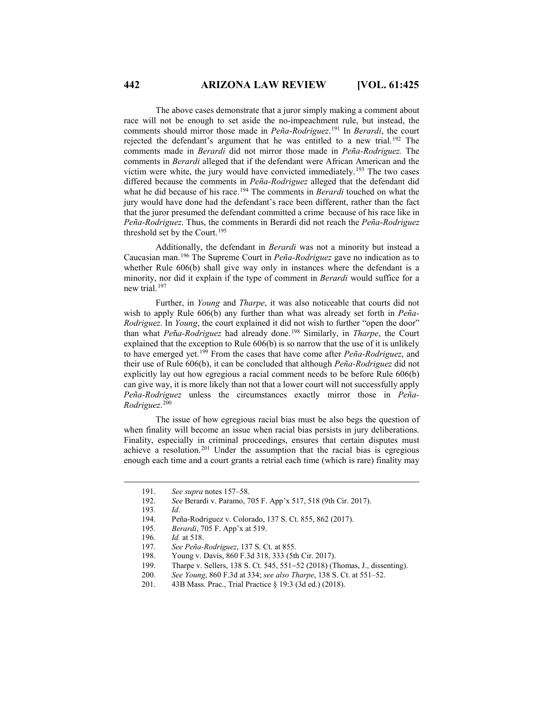The above cases demonstrate that a juror simply making a comment about race will not be enough to set aside the no-impeachment rule, but instead, the comments should mirror those made in *Peña-Rodriguez*. [191](#page-17-0) In *Berardi*, the court rejected the defendant's argument that he was entitled to a new trial.<sup>[192](#page-17-1)</sup> The comments made in *Berardi* did not mirror those made in *Peña-Rodriguez.* The comments in *Berardi* alleged that if the defendant were African American and the victim were white, the jury would have convicted immediately.[193](#page-17-2) The two cases differed because the comments in *Peña-Rodriguez* alleged that the defendant did what he did because of his race.<sup>[194](#page-17-3)</sup> The comments in *Berardi* touched on what the jury would have done had the defendant's race been different, rather than the fact that the juror presumed the defendant committed a crime because of his race like in *Peña-Rodriguez*. Thus, the comments in Berardi did not reach the *Peña-Rodriguez* threshold set by the Court.[195](#page-17-4)

Additionally, the defendant in *Berardi* was not a minority but instead a Caucasian man.[196](#page-17-5) The Supreme Court in *Peña-Rodriguez* gave no indication as to whether Rule 606(b) shall give way only in instances where the defendant is a minority, nor did it explain if the type of comment in *Berardi* would suffice for a new trial.[197](#page-17-6)

Further, in *Young* and *Tharpe*, it was also noticeable that courts did not wish to apply Rule 606(b) any further than what was already set forth in *Peña-Rodriguez*. In *Young*, the court explained it did not wish to further "open the door" than what *Pe*ñ*a-Rodriguez* had already done.[198](#page-17-7) Similarly, in *Tharpe*, the Court explained that the exception to Rule 606(b) is so narrow that the use of it is unlikely to have emerged yet.[199](#page-17-8) From the cases that have come after *Peña-Rodriguez*, and their use of Rule 606(b), it can be concluded that although *Peña-Rodriguez* did not explicitly lay out how egregious a racial comment needs to be before Rule 606(b) can give way, it is more likely than not that a lower court will not successfully apply *Peña-Rodriguez* unless the circumstances exactly mirror those in *Peña-Rodriguez*. [200](#page-17-9)

The issue of how egregious racial bias must be also begs the question of when finality will become an issue when racial bias persists in jury deliberations. Finality, especially in criminal proceedings, ensures that certain disputes must achieve a resolution.[201](#page-17-10) Under the assumption that the racial bias is egregious enough each time and a court grants a retrial each time (which is rare) finality may

- <span id="page-17-3"></span>194. Peña-Rodriguez v. Colorado, 137 S. Ct. 855, 862 (2017).
- <span id="page-17-4"></span>195*. Berardi*, 705 F. App'x at 519.
- <span id="page-17-5"></span>196*. Id.* at 518.
- <span id="page-17-6"></span>197. *See Peña-Rodriguez*, 137 S. Ct. at 855.
- <span id="page-17-8"></span><span id="page-17-7"></span>Young v. Davis, 860 F.3d 318, 333 (5th Cir. 2017).
- 199. Tharpe v. Sellers, 138 S. Ct. 545, 551−52 (2018) (Thomas, J., dissenting).
- 200*. See Young*, 860 F.3d at 334; *see also Tharpe*, 138 S. Ct. at 551–52.
- <span id="page-17-10"></span><span id="page-17-9"></span>201. 43B Mass. Prac., Trial Practice § 19:3 (3d ed.) (2018).

<span id="page-17-1"></span><span id="page-17-0"></span><sup>191.</sup> *See supra* notes 157–58.<br>192. *See* Berardi v. Paramo, 7

See Berardi v. Paramo, 705 F. App'x 517, 518 (9th Cir. 2017).

<span id="page-17-2"></span><sup>193</sup>*. Id*.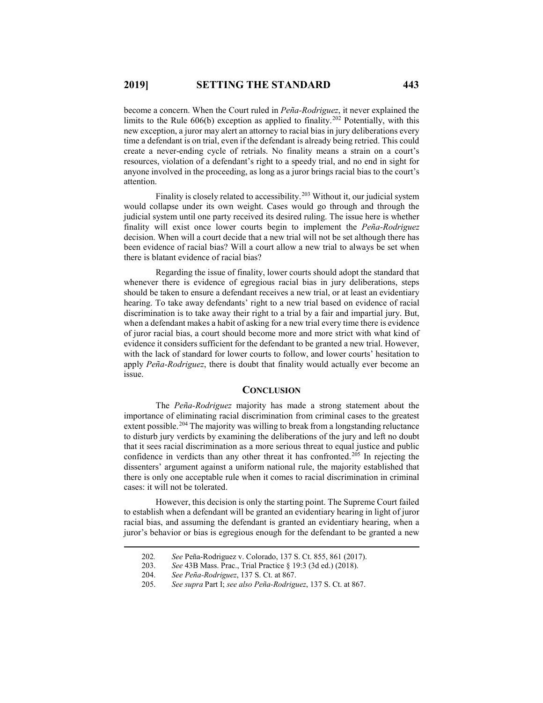become a concern. When the Court ruled in *Peña-Rodriguez*, it never explained the limits to the Rule  $606(b)$  exception as applied to finality.<sup>[202](#page-18-0)</sup> Potentially, with this new exception, a juror may alert an attorney to racial bias in jury deliberations every time a defendant is on trial, even if the defendant is already being retried. This could create a never-ending cycle of retrials. No finality means a strain on a court's resources, violation of a defendant's right to a speedy trial, and no end in sight for anyone involved in the proceeding, as long as a juror brings racial bias to the court's attention.

Finality is closely related to accessibility.<sup>[203](#page-18-1)</sup> Without it, our judicial system would collapse under its own weight. Cases would go through and through the judicial system until one party received its desired ruling. The issue here is whether finality will exist once lower courts begin to implement the *Peña-Rodriguez* decision. When will a court decide that a new trial will not be set although there has been evidence of racial bias? Will a court allow a new trial to always be set when there is blatant evidence of racial bias?

Regarding the issue of finality, lower courts should adopt the standard that whenever there is evidence of egregious racial bias in jury deliberations, steps should be taken to ensure a defendant receives a new trial, or at least an evidentiary hearing. To take away defendants' right to a new trial based on evidence of racial discrimination is to take away their right to a trial by a fair and impartial jury. But, when a defendant makes a habit of asking for a new trial every time there is evidence of juror racial bias, a court should become more and more strict with what kind of evidence it considers sufficient for the defendant to be granted a new trial. However, with the lack of standard for lower courts to follow, and lower courts' hesitation to apply *Peña-Rodriguez*, there is doubt that finality would actually ever become an issue.

#### **CONCLUSION**

The *Peña-Rodriguez* majority has made a strong statement about the importance of eliminating racial discrimination from criminal cases to the greatest extent possible.<sup>[204](#page-18-2)</sup> The majority was willing to break from a longstanding reluctance to disturb jury verdicts by examining the deliberations of the jury and left no doubt that it sees racial discrimination as a more serious threat to equal justice and public confidence in verdicts than any other threat it has confronted.<sup>[205](#page-18-3)</sup> In rejecting the dissenters' argument against a uniform national rule, the majority established that there is only one acceptable rule when it comes to racial discrimination in criminal cases: it will not be tolerated.

<span id="page-18-1"></span><span id="page-18-0"></span>However, this decision is only the starting point. The Supreme Court failed to establish when a defendant will be granted an evidentiary hearing in light of juror racial bias, and assuming the defendant is granted an evidentiary hearing, when a juror's behavior or bias is egregious enough for the defendant to be granted a new

 <sup>202</sup>*. See* Peña-Rodriguez v. Colorado, 137 S. Ct. 855, 861 (2017).

<sup>203.</sup> *See* 43B Mass. Prac., Trial Practice § 19:3 (3d ed.) (2018).

<sup>204.</sup> *See Peña-Rodriguez*, 137 S. Ct. at 867.

<span id="page-18-3"></span><span id="page-18-2"></span><sup>205.</sup> *See supra* Part I; *see also Peña-Rodriguez*, 137 S. Ct. at 867.